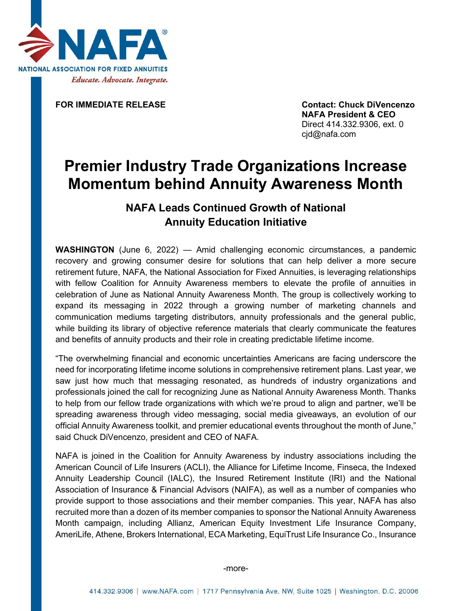

**FOR IMMEDIATE RELEASE Contact: Chuck DiVencenzo NAFA President & CEO** Direct 414.332.9306, ext. 0 cjd@nafa.com

## **Premier Industry Trade Organizations Increase Momentum behind Annuity Awareness Month**

## **NAFA Leads Continued Growth of National Annuity Education Initiative**

**WASHINGTON** (June 6, 2022) — Amid challenging economic circumstances, a pandemic recovery and growing consumer desire for solutions that can help deliver a more secure retirement future, NAFA, the National Association for Fixed Annuities, is leveraging relationships with fellow Coalition for Annuity Awareness members to elevate the profile of annuities in celebration of June as National Annuity Awareness Month. The group is collectively working to expand its messaging in 2022 through a growing number of marketing channels and communication mediums targeting distributors, annuity professionals and the general public, while building its library of objective reference materials that clearly communicate the features and benefits of annuity products and their role in creating predictable lifetime income.

"The overwhelming financial and economic uncertainties Americans are facing underscore the need for incorporating lifetime income solutions in comprehensive retirement plans. Last year, we saw just how much that messaging resonated, as hundreds of industry organizations and professionals joined the call for recognizing June as National Annuity Awareness Month. Thanks to help from our fellow trade organizations with which we're proud to align and partner, we'll be spreading awareness through video messaging, social media giveaways, an evolution of our official Annuity Awareness toolkit, and premier educational events throughout the month of June," said Chuck DiVencenzo, president and CEO of NAFA.

NAFA is joined in the Coalition for Annuity Awareness by industry associations including the American Council of Life Insurers (ACLI), the Alliance for Lifetime Income, Finseca, the Indexed Annuity Leadership Council (IALC), the Insured Retirement Institute (IRI) and the National Association of Insurance & Financial Advisors (NAIFA), as well as a number of companies who provide support to those associations and their member companies. This year, NAFA has also recruited more than a dozen of its member companies to sponsor the National Annuity Awareness Month campaign, including Allianz, American Equity Investment Life Insurance Company, AmeriLife, Athene, Brokers International, ECA Marketing, EquiTrust Life Insurance Co., Insurance

-more-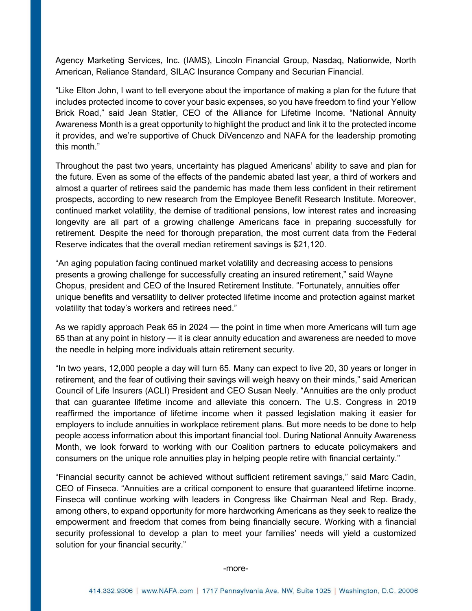Agency Marketing Services, Inc. (IAMS), Lincoln Financial Group, Nasdaq, Nationwide, North American, Reliance Standard, SILAC Insurance Company and Securian Financial.

"Like Elton John, I want to tell everyone about the importance of making a plan for the future that includes protected income to cover your basic expenses, so you have freedom to find your Yellow Brick Road," said Jean Statler, CEO of the Alliance for Lifetime Income. "National Annuity Awareness Month is a great opportunity to highlight the product and link it to the protected income it provides, and we're supportive of Chuck DiVencenzo and NAFA for the leadership promoting this month."

Throughout the past two years, uncertainty has plagued Americans' ability to save and plan for the future. Even as some of the effects of the pandemic abated last year, a third of workers and almost a quarter of retirees said the pandemic has made them less confident in their retirement prospects, according to new research from the Employee Benefit Research Institute. Moreover, continued market volatility, the demise of traditional pensions, low interest rates and increasing longevity are all part of a growing challenge Americans face in preparing successfully for retirement. Despite the need for thorough preparation, the most current data from the Federal Reserve indicates that the overall median retirement savings is \$21,120.

"An aging population facing continued market volatility and decreasing access to pensions presents a growing challenge for successfully creating an insured retirement," said Wayne Chopus, president and CEO of the Insured Retirement Institute. "Fortunately, annuities offer unique benefits and versatility to deliver protected lifetime income and protection against market volatility that today's workers and retirees need."

As we rapidly approach Peak 65 in 2024 — the point in time when more Americans will turn age 65 than at any point in history — it is clear annuity education and awareness are needed to move the needle in helping more individuals attain retirement security.

"In two years, 12,000 people a day will turn 65. Many can expect to live 20, 30 years or longer in retirement, and the fear of outliving their savings will weigh heavy on their minds," said American Council of Life Insurers (ACLI) President and CEO Susan Neely. "Annuities are the only product that can guarantee lifetime income and alleviate this concern. The U.S. Congress in 2019 reaffirmed the importance of lifetime income when it passed legislation making it easier for employers to include annuities in workplace retirement plans. But more needs to be done to help people access information about this important financial tool. During National Annuity Awareness Month, we look forward to working with our Coalition partners to educate policymakers and consumers on the unique role annuities play in helping people retire with financial certainty."

"Financial security cannot be achieved without sufficient retirement savings," said Marc Cadin, CEO of Finseca. "Annuities are a critical component to ensure that guaranteed lifetime income. Finseca will continue working with leaders in Congress like Chairman Neal and Rep. Brady, among others, to expand opportunity for more hardworking Americans as they seek to realize the empowerment and freedom that comes from being financially secure. Working with a financial security professional to develop a plan to meet your families' needs will yield a customized solution for your financial security."

-more-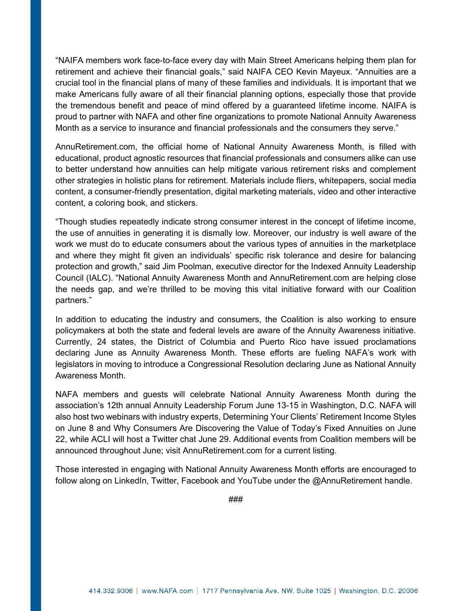"NAIFA members work face-to-face every day with Main Street Americans helping them plan for retirement and achieve their financial goals," said NAIFA CEO Kevin Mayeux. "Annuities are a crucial tool in the financial plans of many of these families and individuals. It is important that we make Americans fully aware of all their financial planning options, especially those that provide the tremendous benefit and peace of mind offered by a guaranteed lifetime income. NAIFA is proud to partner with NAFA and other fine organizations to promote National Annuity Awareness Month as a service to insurance and financial professionals and the consumers they serve."

AnnuRetirement.com, the official home of National Annuity Awareness Month, is filled with educational, product agnostic resources that financial professionals and consumers alike can use to better understand how annuities can help mitigate various retirement risks and complement other strategies in holistic plans for retirement. Materials include fliers, whitepapers, social media content, a consumer-friendly presentation, digital marketing materials, video and other interactive content, a coloring book, and stickers.

"Though studies repeatedly indicate strong consumer interest in the concept of lifetime income, the use of annuities in generating it is dismally low. Moreover, our industry is well aware of the work we must do to educate consumers about the various types of annuities in the marketplace and where they might fit given an individuals' specific risk tolerance and desire for balancing protection and growth," said Jim Poolman, executive director for the Indexed Annuity Leadership Council (IALC). "National Annuity Awareness Month and AnnuRetirement.com are helping close the needs gap, and we're thrilled to be moving this vital initiative forward with our Coalition partners."

In addition to educating the industry and consumers, the Coalition is also working to ensure policymakers at both the state and federal levels are aware of the Annuity Awareness initiative. Currently, 24 states, the District of Columbia and Puerto Rico have issued proclamations declaring June as Annuity Awareness Month. These efforts are fueling NAFA's work with legislators in moving to introduce a Congressional Resolution declaring June as National Annuity Awareness Month.

NAFA members and guests will celebrate National Annuity Awareness Month during the association's 12th annual Annuity Leadership Forum June 13-15 in Washington, D.C. NAFA will also host two webinars with industry experts, Determining Your Clients' Retirement Income Styles on June 8 and Why Consumers Are Discovering the Value of Today's Fixed Annuities on June 22, while ACLI will host a Twitter chat June 29. Additional events from Coalition members will be announced throughout June; visit AnnuRetirement.com for a current listing.

Those interested in engaging with National Annuity Awareness Month efforts are encouraged to follow along on LinkedIn, Twitter, Facebook and YouTube under the @AnnuRetirement handle.

###